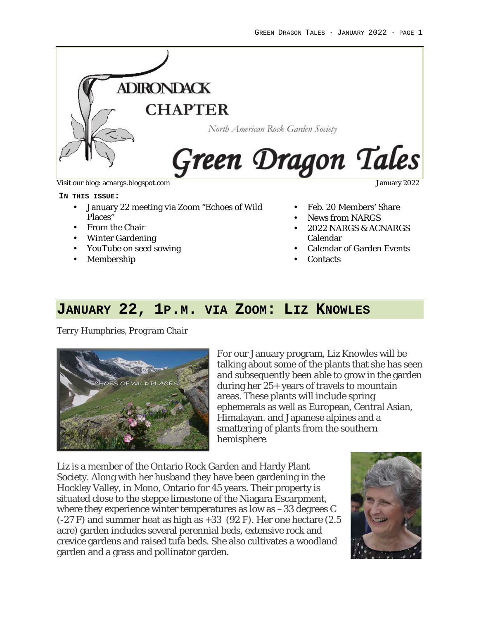

Visit our blog: acnargs.blogspot.com January 2022

#### **IN THIS ISSUE:**

- January 22 meeting via Zoom "Echoes of Wild Places"
- From the Chair
- Winter Gardening
- YouTube on seed sowing
- Membership

- Feb. 20 Members' Share
- News from NARGS
- 2022 NARGS & ACNARGS Calendar
- Calendar of Garden Events
- Contacts

# **JANUARY 22, 1P.M. VIA ZOOM: LIZ KNOWLES**

*Terry Humphries, Program Chair*



For our January program, Liz Knowles will be talking about some of the plants that she has seen and subsequently been able to grow in the garden during her 25+ years of travels to mountain areas. These plants will include spring ephemerals as well as European, Central Asian, Himalayan. and Japanese alpines and a smattering of plants from the southern hemisphere.

Liz is a member of the Ontario Rock Garden and Hardy Plant Society. Along with her husband they have been gardening in the Hockley Valley, in Mono, Ontario for 45 years. Their property is situated close to the steppe limestone of the Niagara Escarpment, where they experience winter temperatures as low as –33 degrees C (-27 F) and summer heat as high as +33 (92 F). Her one hectare (2.5 acre) garden includes several perennial beds, extensive rock and crevice gardens and raised tufa beds. She also cultivates a woodland garden and a grass and pollinator garden.

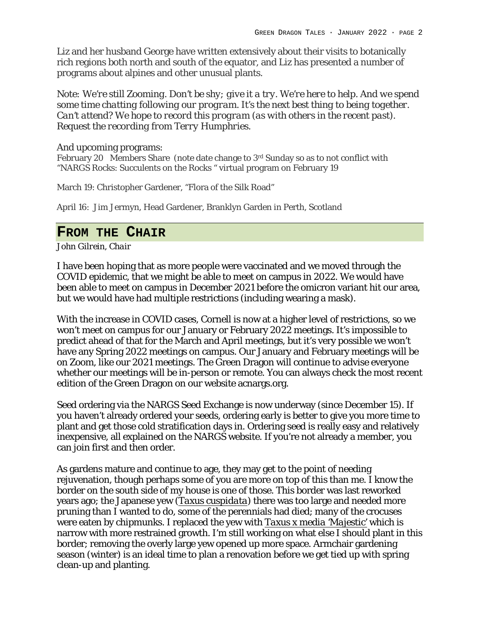Liz and her husband George have written extensively about their visits to botanically rich regions both north and south of the equator, and Liz has presented a number of programs about alpines and other unusual plants.

*Note: We're still Zooming. Don't be shy; give it a try. We're here to help. And we spend some time chatting following our program. It's the next best thing to being together. Can't attend? We hope to record this program (as with others in the recent past). Request the recording from Terry Humphries.*

### And upcoming programs:

February 20 Members Share (note date change to 3rd Sunday so as to not conflict with "NARGS Rocks: Succulents on the Rocks " virtual program on February 19

March 19: Christopher Gardener, "Flora of the Silk Road"

April 16: Jim Jermyn, Head Gardener, Branklyn Garden in Perth, Scotland

### **FROM THE CHAIR**

*John Gilrein, Chair*

I have been hoping that as more people were vaccinated and we moved through the COVID epidemic, that we might be able to meet on campus in 2022. We would have been able to meet on campus in December 2021 before the omicron variant hit our area, but we would have had multiple restrictions (including wearing a mask).

With the increase in COVID cases, Cornell is now at a higher level of restrictions, so we won't meet on campus for our January or February 2022 meetings. It's impossible to predict ahead of that for the March and April meetings, but it's very possible we won't have any Spring 2022 meetings on campus. Our January and February meetings will be on Zoom, like our 2021 meetings. The Green Dragon will continue to advise everyone whether our meetings will be in-person or remote. You can always check the most recent edition of the Green Dragon on our website acnargs.org.

Seed ordering via the NARGS Seed Exchange is now underway (since December 15). If you haven't already ordered your seeds, ordering early is better to give you more time to plant and get those cold stratification days in. Ordering seed is really easy and relatively inexpensive, all explained on the NARGS website. If you're not already a member, you can join first and then order.

As gardens mature and continue to age, they may get to the point of needing rejuvenation, though perhaps some of you are more on top of this than me. I know the border on the south side of my house is one of those. This border was last reworked years ago; the Japanese yew (*Taxus cuspidata*) there was too large and needed more pruning than I wanted to do, some of the perennials had died; many of the crocuses were eaten by chipmunks. I replaced the yew with *Taxus x media 'Majestic'* which is narrow with more restrained growth. I'm still working on what else I should plant in this border; removing the overly large yew opened up more space. Armchair gardening season (winter) is an ideal time to plan a renovation before we get tied up with spring clean-up and planting.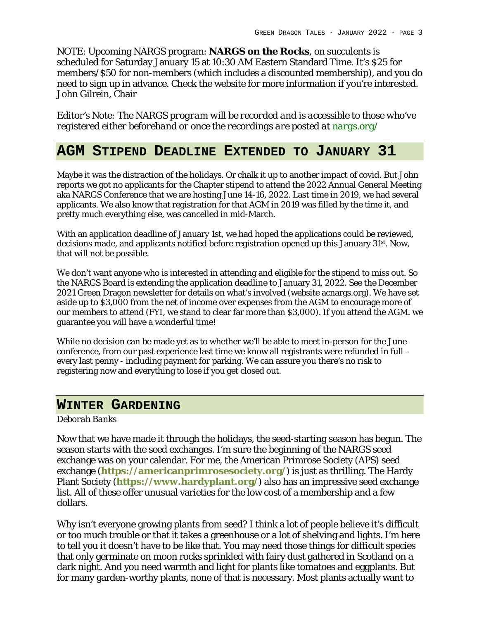NOTE: Upcoming NARGS program: **NARGS on the Rocks**, on succulents is scheduled for Saturday January 15 at 10:30 AM Eastern Standard Time. It's \$25 for members/\$50 for non-members (which includes a discounted membership), and you do need to sign up in advance. Check the website for more information if you're interested. John Gilrein, Chair

*Editor's Note: The NARGS program will be recorded and is accessible to those who've registered either beforehand or once the recordings are posted at nargs.org/*

# **AGM STIPEND DEADLINE EXTENDED TO JANUARY 31**

Maybe it was the distraction of the holidays. Or chalk it up to another impact of covid. But John reports we got no applicants for the Chapter stipend to attend the 2022 Annual General Meeting aka NARGS Conference that we are hosting June 14-16, 2022. Last time in 2019, we had several applicants. We also know that registration for that AGM in 2019 was filled by the time it, and pretty much everything else, was cancelled in mid-March.

With an application deadline of January 1st, we had hoped the applications could be reviewed, decisions made, and applicants notified before registration opened up this January 31st. Now, that will not be possible.

We don't want anyone who is interested in attending and eligible for the stipend to miss out. So the NARGS Board is extending the application deadline to January 31, 2022. See the December 2021 Green Dragon newsletter for details on what's involved (website acnargs.org). We have set aside up to \$3,000 from the net of income over expenses from the AGM to encourage more of our members to attend (FYI, we stand to clear far more than \$3,000). If you attend the AGM. we guarantee you will have a wonderful time!

While no decision can be made yet as to whether we'll be able to meet in-person for the June conference, from our past experience last time we know all registrants were refunded in full – every last penny - including payment for parking. We can assure you there's no risk to registering now and everything to lose if you get closed out.

# **WINTER GARDENING**

### *Deborah Banks*

Now that we have made it through the holidays, the seed-starting season has begun. The season starts with the seed exchanges. I'm sure the beginning of the NARGS seed exchange was on your calendar. For me, the American Primrose Society (APS) seed exchange (**https://americanprimrosesociety.org/**) is just as thrilling. The Hardy Plant Society (**https://www.hardyplant.org/**) also has an impressive seed exchange list. All of these offer unusual varieties for the low cost of a membership and a few dollars.

Why isn't everyone growing plants from seed? I think a lot of people believe it's difficult or too much trouble or that it takes a greenhouse or a lot of shelving and lights. I'm here to tell you it doesn't have to be like that. You may need those things for difficult species that only germinate on moon rocks sprinkled with fairy dust gathered in Scotland on a dark night. And you need warmth and light for plants like tomatoes and eggplants. But for many garden-worthy plants, none of that is necessary. Most plants actually want to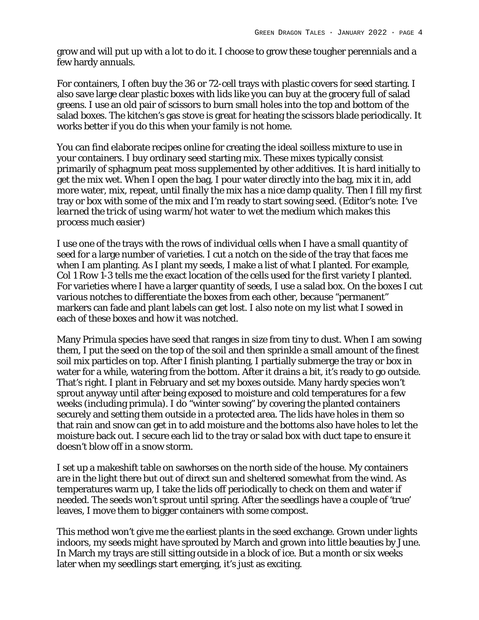grow and will put up with a lot to do it. I choose to grow these tougher perennials and a few hardy annuals.

For containers, I often buy the 36 or 72-cell trays with plastic covers for seed starting. I also save large clear plastic boxes with lids like you can buy at the grocery full of salad greens. I use an old pair of scissors to burn small holes into the top and bottom of the salad boxes. The kitchen's gas stove is great for heating the scissors blade periodically. It works better if you do this when your family is not home.

You can find elaborate recipes online for creating the ideal soilless mixture to use in your containers. I buy ordinary seed starting mix. These mixes typically consist primarily of sphagnum peat moss supplemented by other additives. It is hard initially to get the mix wet. When I open the bag, I pour water directly into the bag, mix it in, add more water, mix, repeat, until finally the mix has a nice damp quality. Then I fill my first tray or box with some of the mix and I'm ready to start sowing seed. *(Editor's note: I've learned the trick of using warm/hot water to wet the medium which makes this process much easier)*

I use one of the trays with the rows of individual cells when I have a small quantity of seed for a large number of varieties. I cut a notch on the side of the tray that faces me when I am planting. As I plant my seeds, I make a list of what I planted. For example, Col 1 Row 1-3 tells me the exact location of the cells used for the first variety I planted. For varieties where I have a larger quantity of seeds, I use a salad box. On the boxes I cut various notches to differentiate the boxes from each other, because "permanent" markers can fade and plant labels can get lost. I also note on my list what I sowed in each of these boxes and how it was notched.

Many Primula species have seed that ranges in size from tiny to dust. When I am sowing them, I put the seed on the top of the soil and then sprinkle a small amount of the finest soil mix particles on top. After I finish planting, I partially submerge the tray or box in water for a while, watering from the bottom. After it drains a bit, it's ready to go outside. That's right. I plant in February and set my boxes outside. Many hardy species won't sprout anyway until after being exposed to moisture and cold temperatures for a few weeks (including primula). I do "winter sowing" by covering the planted containers securely and setting them outside in a protected area. The lids have holes in them so that rain and snow can get in to add moisture and the bottoms also have holes to let the moisture back out. I secure each lid to the tray or salad box with duct tape to ensure it doesn't blow off in a snow storm.

I set up a makeshift table on sawhorses on the north side of the house. My containers are in the light there but out of direct sun and sheltered somewhat from the wind. As temperatures warm up, I take the lids off periodically to check on them and water if needed. The seeds won't sprout until spring. After the seedlings have a couple of 'true' leaves, I move them to bigger containers with some compost.

This method won't give me the earliest plants in the seed exchange. Grown under lights indoors, my seeds might have sprouted by March and grown into little beauties by June. In March my trays are still sitting outside in a block of ice. But a month or six weeks later when my seedlings start emerging, it's just as exciting.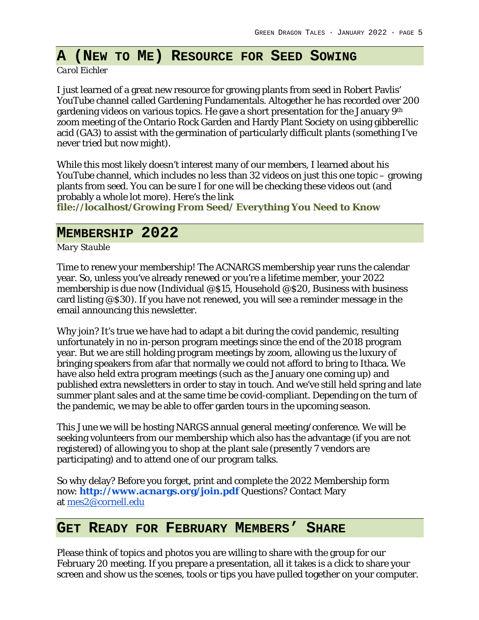# **A (NEW TO ME) RESOURCE FOR SEED SOWING**

*Carol Eichler*

I just learned of a great new resource for growing plants from seed in Robert Pavlis' YouTube channel called Gardening Fundamentals. Altogether he has recorded over 200 gardening videos on various topics. He gave a short presentation for the January 9th zoom meeting of the Ontario Rock Garden and Hardy Plant Society on using gibberellic acid (GA3) to assist with the germination of particularly difficult plants (something I've never tried but now might).

While this most likely doesn't interest many of our members, I learned about his YouTube channel, which includes no less than 32 videos on just this one topic – growing plants from seed. You can be sure I for one will be checking these videos out (and probably a whole lot more). Here's the link **file://localhost/Growing From Seed/ Everything You Need to Know**

# **MEMBERSHIP 2022**

*Mary Stauble*

Time to renew your membership! The ACNARGS membership year runs the calendar year. So, unless you've already renewed or you're a lifetime member, your 2022 membership is due now (Individual @\$15, Household @\$20, Business with business card listing @\$30). If you have not renewed, you will see a reminder message in the email announcing this newsletter.

Why join? It's true we have had to adapt a bit during the covid pandemic, resulting unfortunately in no in-person program meetings since the end of the 2018 program year. But we are still holding program meetings by zoom, allowing us the luxury of bringing speakers from afar that normally we could not afford to bring to Ithaca. We have also held extra program meetings (such as the January one coming up) and published extra newsletters in order to stay in touch. And we've still held spring and late summer plant sales and at the same time be covid-compliant. Depending on the turn of the pandemic, we may be able to offer garden tours in the upcoming season.

This June we will be hosting NARGS annual general meeting/conference. We will be seeking volunteers from our membership which also has the advantage (if you are not registered) of allowing you to shop at the plant sale (presently 7 vendors are participating) and to attend one of our program talks.

So why delay? Before you forget, print and complete the 2022 Membership form now: **http://www.acnargs.org/join.pdf** Questions? Contact Mary at mes2@cornell.edu

# **GET READY FOR FEBRUARY MEMBERS' SHARE**

Please think of topics and photos you are willing to share with the group for our February 20 meeting. If you prepare a presentation, all it takes is a click to share your screen and show us the scenes, tools or tips you have pulled together on your computer.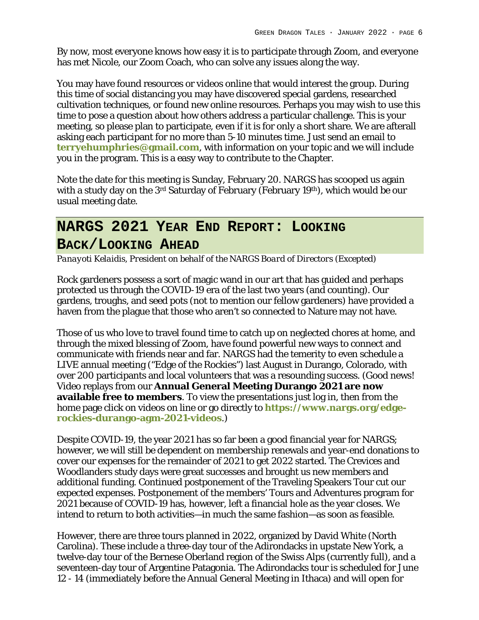By now, most everyone knows how easy it is to participate through Zoom, and everyone has met Nicole, our Zoom Coach, who can solve any issues along the way.

You may have found resources or videos online that would interest the group. During this time of social distancing you may have discovered special gardens, researched cultivation techniques, or found new online resources. Perhaps you may wish to use this time to pose a question about how others address a particular challenge. This is your meeting, so please plan to participate, even if it is for only a short share. We are afterall asking each participant for no more than 5-10 minutes time. Just send an email to **terryehumphries@gmail.com**, with information on your topic and we will include you in the program. This is a easy way to contribute to the Chapter.

Note the date for this meeting is Sunday, February 20. NARGS has scooped us again with a study day on the 3<sup>rd</sup> Saturday of February (February 19<sup>th</sup>), which would be our usual meeting date.

# **NARGS 2021 YEAR END REPORT: LOOKING BACK/LOOKING AHEAD**

*Panayoti Kelaidis, President on behalf of the NARGS Board of Directors (Excepted)*

Rock gardeners possess a sort of magic wand in our art that has guided and perhaps protected us through the COVID-19 era of the last two years (and counting). Our gardens, troughs, and seed pots (not to mention our fellow gardeners) have provided a haven from the plague that those who aren't so connected to Nature may not have.

Those of us who love to travel found time to catch up on neglected chores at home, and through the mixed blessing of Zoom, have found powerful new ways to connect and communicate with friends near and far. NARGS had the temerity to even schedule a LIVE annual meeting ("Edge of the Rockies") last August in Durango, Colorado, with over 200 participants and local volunteers that was a resounding success. (Good news! Video replays from our **Annual General Meeting Durango 2021 are now available free to members**. To view the presentations just log in, then from the home page click on videos on line or go directly to **https://www.nargs.org/edgerockies-durango-agm-2021-videos**.)

Despite COVID-19, the year 2021 has so far been a good financial year for NARGS; however, we will still be dependent on membership renewals and year-end donations to cover our expenses for the remainder of 2021 to get 2022 started. The Crevices and Woodlanders study days were great successes and brought us new members and additional funding. Continued postponement of the Traveling Speakers Tour cut our expected expenses. Postponement of the members' Tours and Adventures program for 2021 because of COVID-19 has, however, left a financial hole as the year closes. We intend to return to both activities—in much the same fashion—as soon as feasible.

However, there are three tours planned in 2022, organized by David White (North Carolina). These include a three-day tour of the Adirondacks in upstate New York, a twelve-day tour of the Bernese Oberland region of the Swiss Alps (currently full), and a seventeen-day tour of Argentine Patagonia. The Adirondacks tour is scheduled for June 12 - 14 (immediately before the Annual General Meeting in Ithaca) and will open for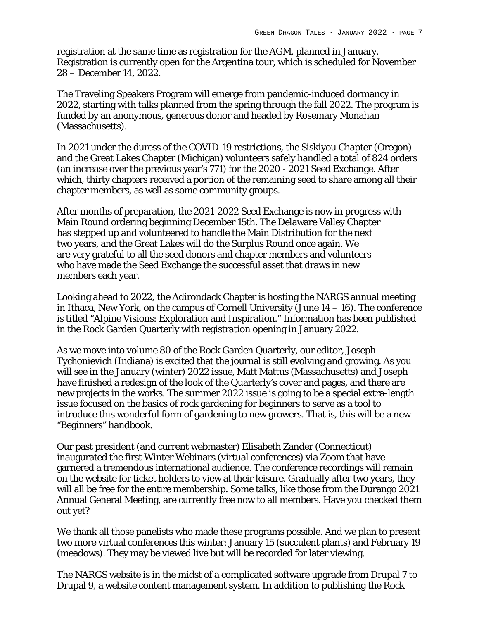registration at the same time as registration for the AGM, planned in January. Registration is currently open for the Argentina tour, which is scheduled for November 28 – December 14, 2022.

The Traveling Speakers Program will emerge from pandemic-induced dormancy in 2022, starting with talks planned from the spring through the fall 2022. The program is funded by an anonymous, generous donor and headed by Rosemary Monahan (Massachusetts).

In 2021 under the duress of the COVID-19 restrictions, the Siskiyou Chapter (Oregon) and the Great Lakes Chapter (Michigan) volunteers safely handled a total of 824 orders (an increase over the previous year's 771) for the 2020 - 2021 Seed Exchange. After which, thirty chapters received a portion of the remaining seed to share among all their chapter members, as well as some community groups.

After months of preparation, the 2021-2022 Seed Exchange is now in progress with Main Round ordering beginning December 15th. The Delaware Valley Chapter has stepped up and volunteered to handle the Main Distribution for the next two years, and the Great Lakes will do the Surplus Round once again. We are very grateful to all the seed donors and chapter members and volunteers who have made the Seed Exchange the successful asset that draws in new members each year.

Looking ahead to 2022, the Adirondack Chapter is hosting the NARGS annual meeting in Ithaca, New York, on the campus of Cornell University (June 14 – 16). The conference is titled "Alpine Visions: Exploration and Inspiration." Information has been published in the Rock Garden Quarterly with registration opening in January 2022.

As we move into volume 80 of the Rock Garden Quarterly, our editor, Joseph Tychonievich (Indiana) is excited that the journal is still evolving and growing. As you will see in the January (winter) 2022 issue, Matt Mattus (Massachusetts) and Joseph have finished a redesign of the look of the Quarterly's cover and pages, and there are new projects in the works. The summer 2022 issue is going to be a special extra-length issue focused on the basics of rock gardening for beginners to serve as a tool to introduce this wonderful form of gardening to new growers. That is, this will be a new "Beginners" handbook.

Our past president (and current webmaster) Elisabeth Zander (Connecticut) inaugurated the first Winter Webinars (virtual conferences) via Zoom that have garnered a tremendous international audience. The conference recordings will remain on the website for ticket holders to view at their leisure. Gradually after two years, they will all be free for the entire membership. Some talks, like those from the Durango 2021 Annual General Meeting, are currently free now to all members. Have you checked them out yet?

We thank all those panelists who made these programs possible. And we plan to present two more virtual conferences this winter: January 15 (succulent plants) and February 19 (meadows). They may be viewed live but will be recorded for later viewing.

The NARGS website is in the midst of a complicated software upgrade from Drupal 7 to Drupal 9, a website content management system. In addition to publishing the Rock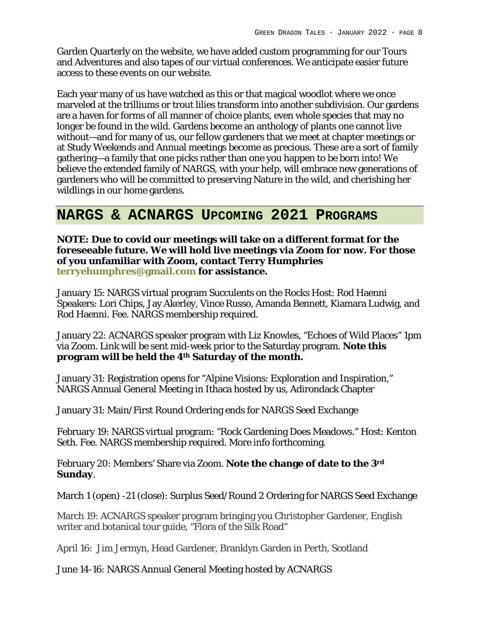Garden Quarterly on the website, we have added custom programming for our Tours and Adventures and also tapes of our virtual conferences. We anticipate easier future access to these events on our website.

Each year many of us have watched as this or that magical woodlot where we once marveled at the trilliums or trout lilies transform into another subdivision. Our gardens are a haven for forms of all manner of choice plants, even whole species that may no longer be found in the wild. Gardens become an anthology of plants one cannot live without—and for many of us, our fellow gardeners that we meet at chapter meetings or at Study Weekends and Annual meetings become as precious. These are a sort of family gathering—a family that one picks rather than one you happen to be born into! We believe the extended family of NARGS, with your help, will embrace new generations of gardeners who will be committed to preserving Nature in the wild, and cherishing her wildlings in our home gardens.

# **NARGS & ACNARGS UPCOMING 2021 PROGRAMS**

**NOTE: Due to covid our meetings will take on a different format for the foreseeable future. We will hold live meetings via Zoom for now. For those of you unfamiliar with Zoom, contact Terry Humphries terryehumphres@gmail.com for assistance.** 

January 15: NARGS virtual program Succulents on the Rocks Host: Rod Haenni Speakers: Lori Chips, Jay Akerley, Vince Russo, Amanda Bennett, Kiamara Ludwig, and Rod Haenni. Fee. NARGS membership required.

January 22: ACNARGS speaker program with Liz Knowles, "Echoes of Wild Places" 1pm via Zoom. Link will be sent mid-week prior to the Saturday program. **Note this program will be held the 4th Saturday of the month.**

January 31: Registration opens for "Alpine Visions: Exploration and Inspiration," NARGS Annual General Meeting in Ithaca hosted by us, Adirondack Chapter

January 31: Main/First Round Ordering ends for NARGS Seed Exchange

February 19: NARGS virtual program: "Rock Gardening Does Meadows." Host: Kenton Seth. Fee. NARGS membership required. More info forthcoming.

February 20: Members' Share via Zoom. **Note the change of date to the 3rd Sunday**.

March 1 (open) -21 (close): Surplus Seed/Round 2 Ordering for NARGS Seed Exchange

March 19: ACNARGS speaker program bringing you Christopher Gardener, English writer and botanical tour guide, "Flora of the Silk Road"

April 16: Jim Jermyn, Head Gardener, Branklyn Garden in Perth, Scotland

June 14-16: NARGS Annual General Meeting hosted by ACNARGS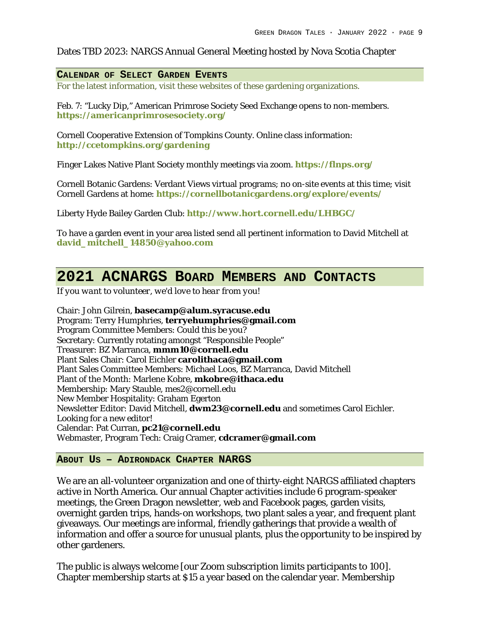### Dates TBD 2023: NARGS Annual General Meeting hosted by Nova Scotia Chapter

### **CALENDAR OF SELECT GARDEN EVENTS**

For the latest information, visit these websites of these gardening organizations.

Feb. 7: "Lucky Dip," American Primrose Society Seed Exchange opens to non-members. **https://americanprimrosesociety.org/**

Cornell Cooperative Extension of Tompkins County. Online class information: **http://ccetompkins.org/gardening**

Finger Lakes Native Plant Society monthly meetings via zoom. **https://flnps.org/**

Cornell Botanic Gardens: Verdant Views virtual programs; no on-site events at this time; visit Cornell Gardens at home: **https://cornellbotanicgardens.org/explore/events/**

Liberty Hyde Bailey Garden Club: **http://www.hort.cornell.edu/LHBGC/**

To have a garden event in your area listed send all pertinent information to David Mitchell at **david\_mitchell\_14850@yahoo.com**

# **2021 ACNARGS BOARD MEMBERS AND CONTACTS**

*If you want to volunteer, we'd love to hear from you!*

Chair: John Gilrein, **basecamp@alum.syracuse.edu** Program: Terry Humphries, **terryehumphries@gmail.com** Program Committee Members: Could this be you? Secretary: Currently rotating amongst "Responsible People" Treasurer: BZ Marranca, **mmm10@cornell.edu** Plant Sales Chair: Carol Eichler **carolithaca@gmail.com** Plant Sales Committee Members: Michael Loos, BZ Marranca, David Mitchell Plant of the Month: Marlene Kobre, **mkobre@ithaca.edu** Membership: Mary Stauble, mes2@cornell.edu New Member Hospitality: Graham Egerton Newsletter Editor: David Mitchell, **dwm23@cornell.edu** and sometimes Carol Eichler. Looking for a new editor! Calendar: Pat Curran, **pc21@cornell.edu** Webmaster, Program Tech: Craig Cramer, **cdcramer@gmail.com**

### **ABOUT US – ADIRONDACK CHAPTER NARGS**

We are an all-volunteer organization and one of thirty-eight NARGS affiliated chapters active in North America. Our annual Chapter activities include 6 program-speaker meetings, the Green Dragon newsletter, web and Facebook pages, garden visits, overnight garden trips, hands-on workshops, two plant sales a year, and frequent plant giveaways. Our meetings are informal, friendly gatherings that provide a wealth of information and offer a source for unusual plants, plus the opportunity to be inspired by other gardeners.

The public is always welcome [our Zoom subscription limits participants to 100]. Chapter membership starts at \$15 a year based on the calendar year. Membership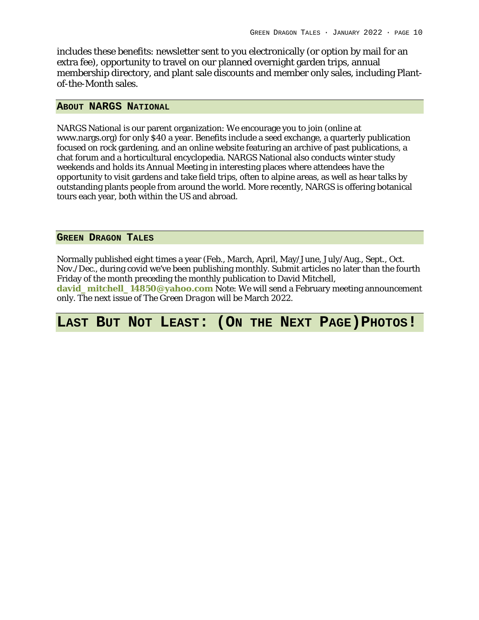includes these benefits: newsletter sent to you electronically (or option by mail for an extra fee), opportunity to travel on our planned overnight garden trips, annual membership directory, and plant sale discounts and member only sales, including Plantof-the-Month sales.

### **ABOUT NARGS NATIONAL**

NARGS National is our parent organization: We encourage you to join (online at www.nargs.org) for only \$40 a year. Benefits include a seed exchange, a quarterly publication focused on rock gardening, and an online website featuring an archive of past publications, a chat forum and a horticultural encyclopedia. NARGS National also conducts winter study weekends and holds its Annual Meeting in interesting places where attendees have the opportunity to visit gardens and take field trips, often to alpine areas, as well as hear talks by outstanding plants people from around the world. More recently, NARGS is offering botanical tours each year, both within the US and abroad.

### **GREEN DRAGON TALES**

Normally published eight times a year (Feb., March, April, May/June, July/Aug., Sept., Oct. Nov./Dec., during covid we've been publishing monthly. Submit articles no later than the fourth Friday of the month preceding the monthly publication to David Mitchell,

**david\_mitchell\_14850@yahoo.com** Note: We will send a February meeting announcement only. The next issue of *The Green Dragon* will be March 2022.

# **LAST BUT NOT LEAST: (ON THE NEXT PAGE)PHOTOS!**